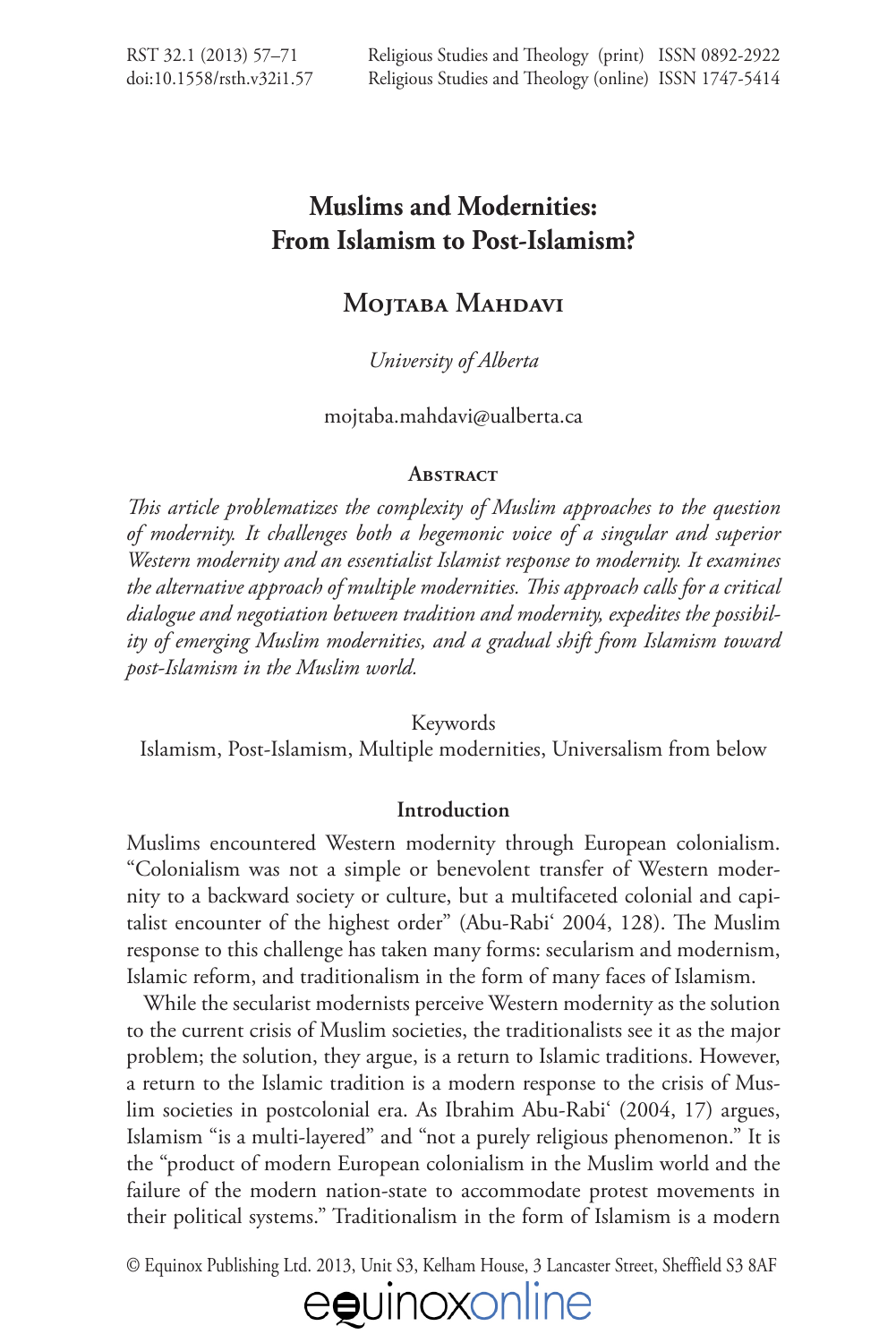# **Muslims and Modernities: From Islamism to Post-Islamism?**

# **MOJTABA MAHDAVI**

# *University of Alberta*

[mojtaba.mahdavi@ualberta.ca](mailto:mojtaba.mahdavi@ualberta.ca)

# **ABSTRACT**

*!is article problematizes the complexity of Muslim approaches to the question of modernity. It challenges both a hegemonic voice of a singular and superior Western modernity and an essentialist Islamist response to modernity. It examines the alternative approach of multiple modernities. !is approach calls for a critical dialogue and negotiation between tradition and modernity, expedites the possibility of emerging Muslim modernities, and a gradual shift from Islamism toward post-Islamism in the Muslim world.* 

Keywords

Islamism, Post-Islamism, Multiple modernities, Universalism from below

# **Introduction**

Muslims encountered Western modernity through European colonialism. "Colonialism was not a simple or benevolent transfer of Western modernity to a backward society or culture, but a multifaceted colonial and capitalist encounter of the highest order" (Abu-Rabi' 2004, 128). The Muslim response to this challenge has taken many forms: secularism and modernism, Islamic reform, and traditionalism in the form of many faces of Islamism.

While the secularist modernists perceive Western modernity as the solution to the current crisis of Muslim societies, the traditionalists see it as the major problem; the solution, they argue, is a return to Islamic traditions. However, a return to the Islamic tradition is a modern response to the crisis of Muslim societies in postcolonial era. As Ibrahim Abu-Rabi' (2004, 17) argues, Islamism "is a multi-layered" and "not a purely religious phenomenon." It is the "product of modern European colonialism in the Muslim world and the failure of the modern nation-state to accommodate protest movements in their political systems." Traditionalism in the form of Islamism is a modern

© Equinox Publishing Ltd. 2013, Unit S3, Kelham House, 3 Lancaster Street, Sheffield S3 8AF

# eguinoxonline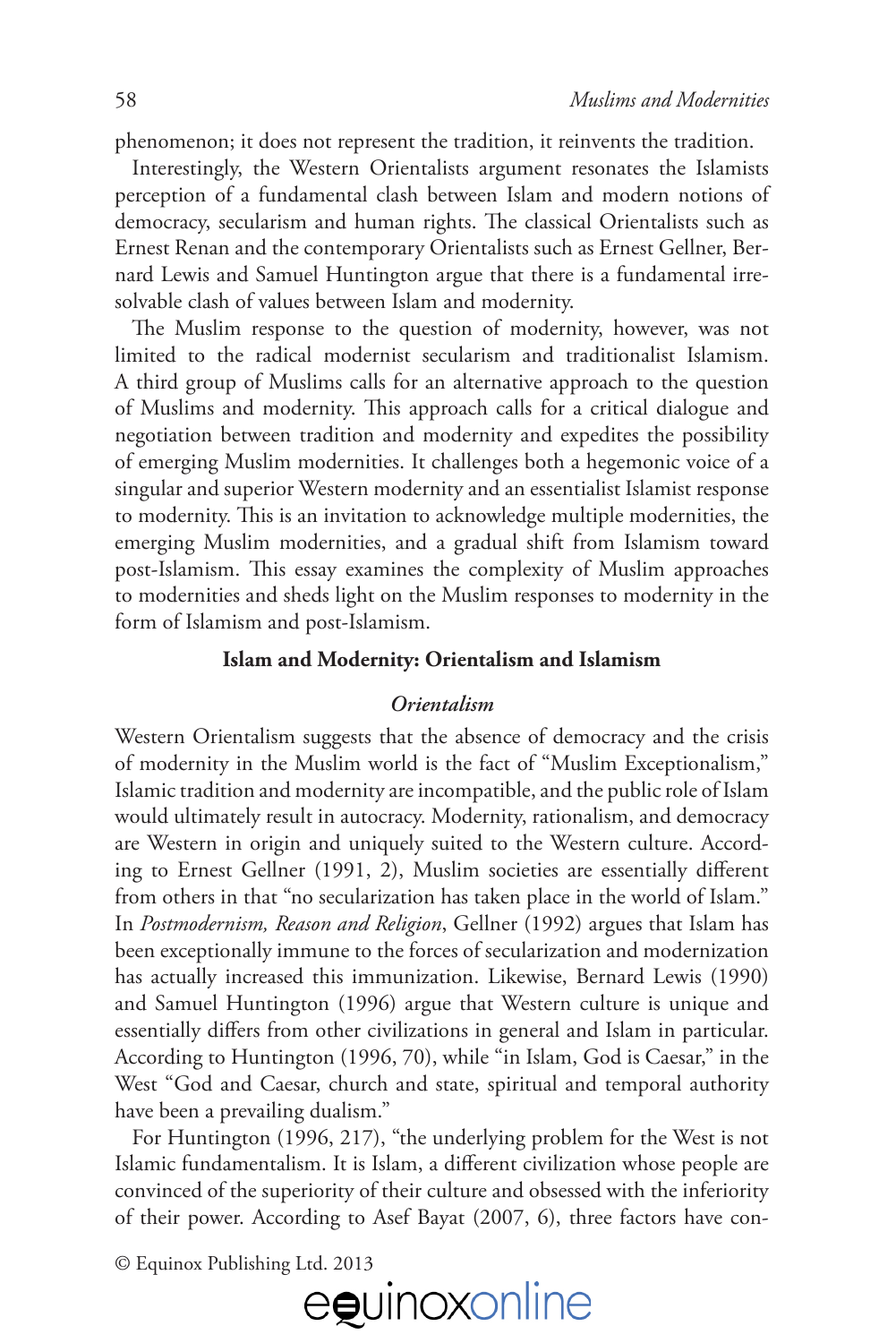phenomenon; it does not represent the tradition, it reinvents the tradition.

Interestingly, the Western Orientalists argument resonates the Islamists perception of a fundamental clash between Islam and modern notions of democracy, secularism and human rights. The classical Orientalists such as Ernest Renan and the contemporary Orientalists such as Ernest Gellner, Bernard Lewis and Samuel Huntington argue that there is a fundamental irresolvable clash of values between Islam and modernity.

The Muslim response to the question of modernity, however, was not limited to the radical modernist secularism and traditionalist Islamism. A third group of Muslims calls for an alternative approach to the question of Muslims and modernity. This approach calls for a critical dialogue and negotiation between tradition and modernity and expedites the possibility of emerging Muslim modernities. It challenges both a hegemonic voice of a singular and superior Western modernity and an essentialist Islamist response to modernity. This is an invitation to acknowledge multiple modernities, the emerging Muslim modernities, and a gradual shift from Islamism toward post-Islamism. This essay examines the complexity of Muslim approaches to modernities and sheds light on the Muslim responses to modernity in the form of Islamism and post-Islamism.

## **Islam and Modernity: Orientalism and Islamism**

#### *Orientalism*

Western Orientalism suggests that the absence of democracy and the crisis of modernity in the Muslim world is the fact of "Muslim Exceptionalism," Islamic tradition and modernity are incompatible, and the public role of Islam would ultimately result in autocracy. Modernity, rationalism, and democracy are Western in origin and uniquely suited to the Western culture. According to Ernest Gellner (1991, 2), Muslim societies are essentially different from others in that "no secularization has taken place in the world of Islam." In *Postmodernism, Reason and Religion*, Gellner (1992) argues that Islam has been exceptionally immune to the forces of secularization and modernization has actually increased this immunization. Likewise, Bernard Lewis (1990) and Samuel Huntington (1996) argue that Western culture is unique and essentially differs from other civilizations in general and Islam in particular. According to Huntington (1996, 70), while "in Islam, God is Caesar," in the West "God and Caesar, church and state, spiritual and temporal authority have been a prevailing dualism."

For Huntington (1996, 217), "the underlying problem for the West is not Islamic fundamentalism. It is Islam, a different civilization whose people are convinced of the superiority of their culture and obsessed with the inferiority of their power. According to Asef Bayat (2007, 6), three factors have con-

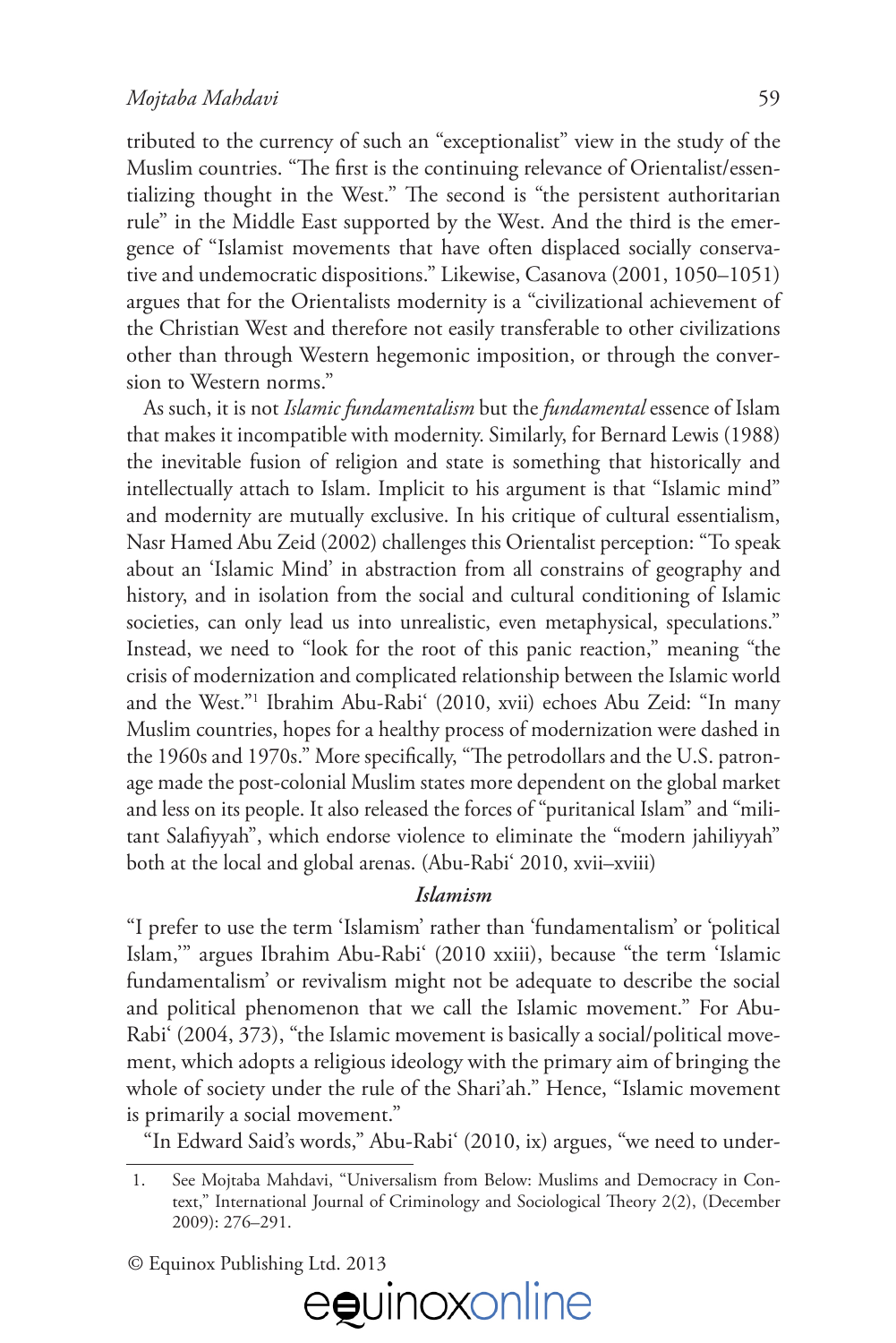tributed to the currency of such an "exceptionalist" view in the study of the Muslim countries. "The first is the continuing relevance of Orientalist/essentializing thought in the West." The second is "the persistent authoritarian rule" in the Middle East supported by the West. And the third is the emergence of "Islamist movements that have often displaced socially conservative and undemocratic dispositions." Likewise, Casanova (2001, 1050–1051) argues that for the Orientalists modernity is a "civilizational achievement of the Christian West and therefore not easily transferable to other civilizations other than through Western hegemonic imposition, or through the conversion to Western norms."

As such, it is not *Islamic fundamentalism* but the *fundamental* essence of Islam that makes it incompatible with modernity. Similarly, for Bernard Lewis (1988) the inevitable fusion of religion and state is something that historically and intellectually attach to Islam. Implicit to his argument is that "Islamic mind" and modernity are mutually exclusive. In his critique of cultural essentialism, Nasr Hamed Abu Zeid (2002) challenges this Orientalist perception: "To speak about an 'Islamic Mind' in abstraction from all constrains of geography and history, and in isolation from the social and cultural conditioning of Islamic societies, can only lead us into unrealistic, even metaphysical, speculations." Instead, we need to "look for the root of this panic reaction," meaning "the crisis of modernization and complicated relationship between the Islamic world and the West."1 Ibrahim Abu-Rabi' (2010, xvii) echoes Abu Zeid: "In many Muslim countries, hopes for a healthy process of modernization were dashed in the 1960s and 1970s." More specifically, "The petrodollars and the U.S. patronage made the post-colonial Muslim states more dependent on the global market and less on its people. It also released the forces of "puritanical Islam" and "militant Salafiyyah", which endorse violence to eliminate the "modern jahiliyyah" both at the local and global arenas. (Abu-Rabi' 2010, xvii–xviii)

# *Islamism*

"I prefer to use the term 'Islamism' rather than 'fundamentalism' or 'political Islam,'" argues Ibrahim Abu-Rabi' (2010 xxiii), because "the term 'Islamic fundamentalism' or revivalism might not be adequate to describe the social and political phenomenon that we call the Islamic movement." For Abu-Rabi' (2004, 373), "the Islamic movement is basically a social/political movement, which adopts a religious ideology with the primary aim of bringing the whole of society under the rule of the Shari'ah." Hence, "Islamic movement is primarily a social movement."

"In Edward Said's words," Abu-Rabi' (2010, ix) argues, "we need to under-



<sup>1.</sup> See Mojtaba Mahdavi, "Universalism from Below: Muslims and Democracy in Context," International Journal of Criminology and Sociological Theory 2(2), (December 2009): 276–291.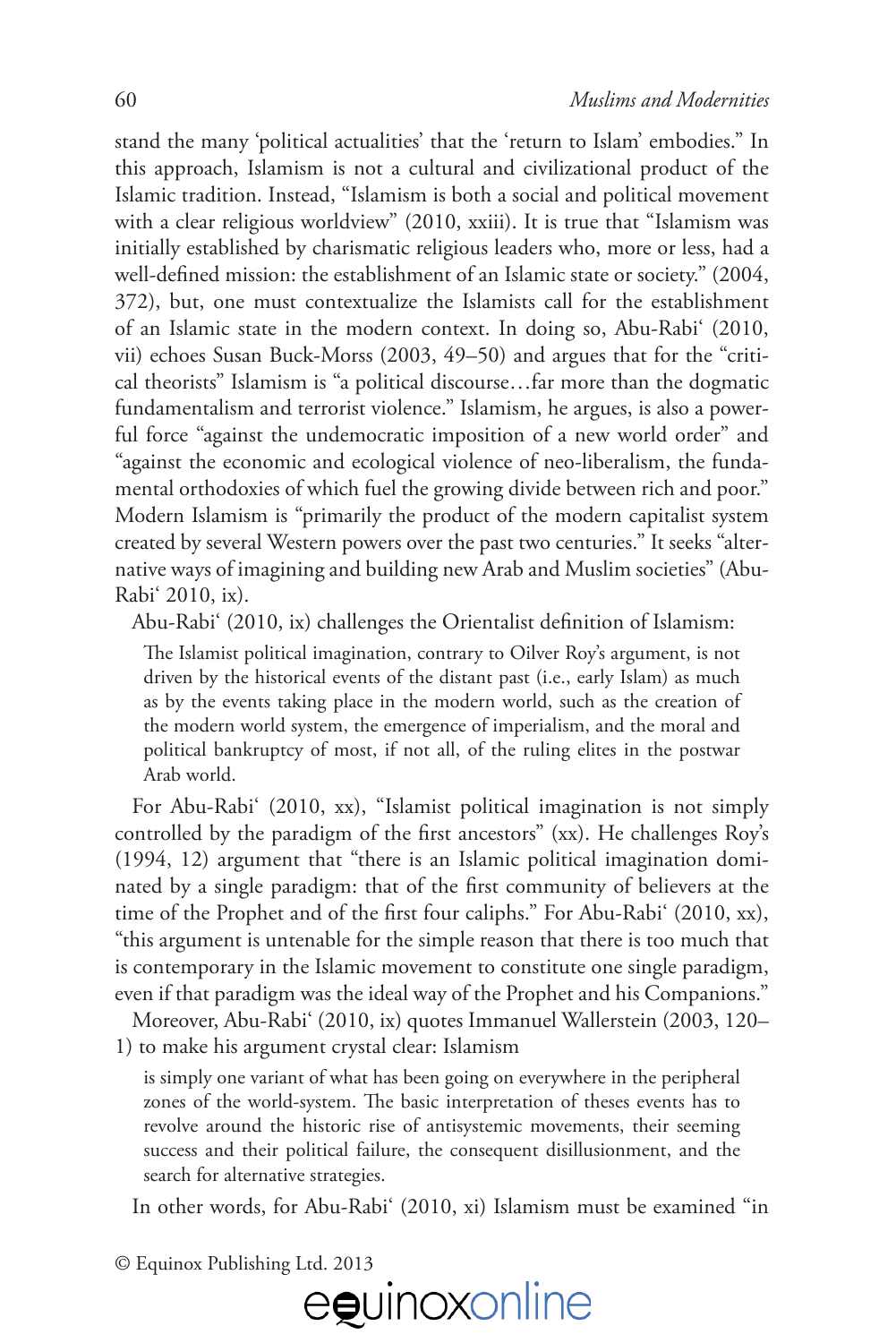stand the many 'political actualities' that the 'return to Islam' embodies." In this approach, Islamism is not a cultural and civilizational product of the Islamic tradition. Instead, "Islamism is both a social and political movement with a clear religious worldview" (2010, xxiii). It is true that "Islamism was initially established by charismatic religious leaders who, more or less, had a well-defined mission: the establishment of an Islamic state or society." (2004, 372), but, one must contextualize the Islamists call for the establishment of an Islamic state in the modern context. In doing so, Abu-Rabi' (2010, vii) echoes Susan Buck-Morss (2003, 49–50) and argues that for the "critical theorists" Islamism is "a political discourse…far more than the dogmatic fundamentalism and terrorist violence." Islamism, he argues, is also a powerful force "against the undemocratic imposition of a new world order" and "against the economic and ecological violence of neo-liberalism, the fundamental orthodoxies of which fuel the growing divide between rich and poor." Modern Islamism is "primarily the product of the modern capitalist system created by several Western powers over the past two centuries." It seeks "alternative ways of imagining and building new Arab and Muslim societies" (Abu-Rabi' 2010, ix).

Abu-Rabi' (2010, ix) challenges the Orientalist definition of Islamism:

The Islamist political imagination, contrary to Oilver Roy's argument, is not driven by the historical events of the distant past (i.e., early Islam) as much as by the events taking place in the modern world, such as the creation of the modern world system, the emergence of imperialism, and the moral and political bankruptcy of most, if not all, of the ruling elites in the postwar Arab world.

For Abu-Rabi' (2010, xx), "Islamist political imagination is not simply controlled by the paradigm of the first ancestors" (xx). He challenges Roy's (1994, 12) argument that "there is an Islamic political imagination dominated by a single paradigm: that of the first community of believers at the time of the Prophet and of the first four caliphs." For Abu-Rabi' (2010, xx), "this argument is untenable for the simple reason that there is too much that is contemporary in the Islamic movement to constitute one single paradigm, even if that paradigm was the ideal way of the Prophet and his Companions."

Moreover, Abu-Rabi' (2010, ix) quotes Immanuel Wallerstein (2003, 120– 1) to make his argument crystal clear: Islamism

is simply one variant of what has been going on everywhere in the peripheral zones of the world-system. The basic interpretation of theses events has to revolve around the historic rise of antisystemic movements, their seeming success and their political failure, the consequent disillusionment, and the search for alternative strategies.

In other words, for Abu-Rabi' (2010, xi) Islamism must be examined "in

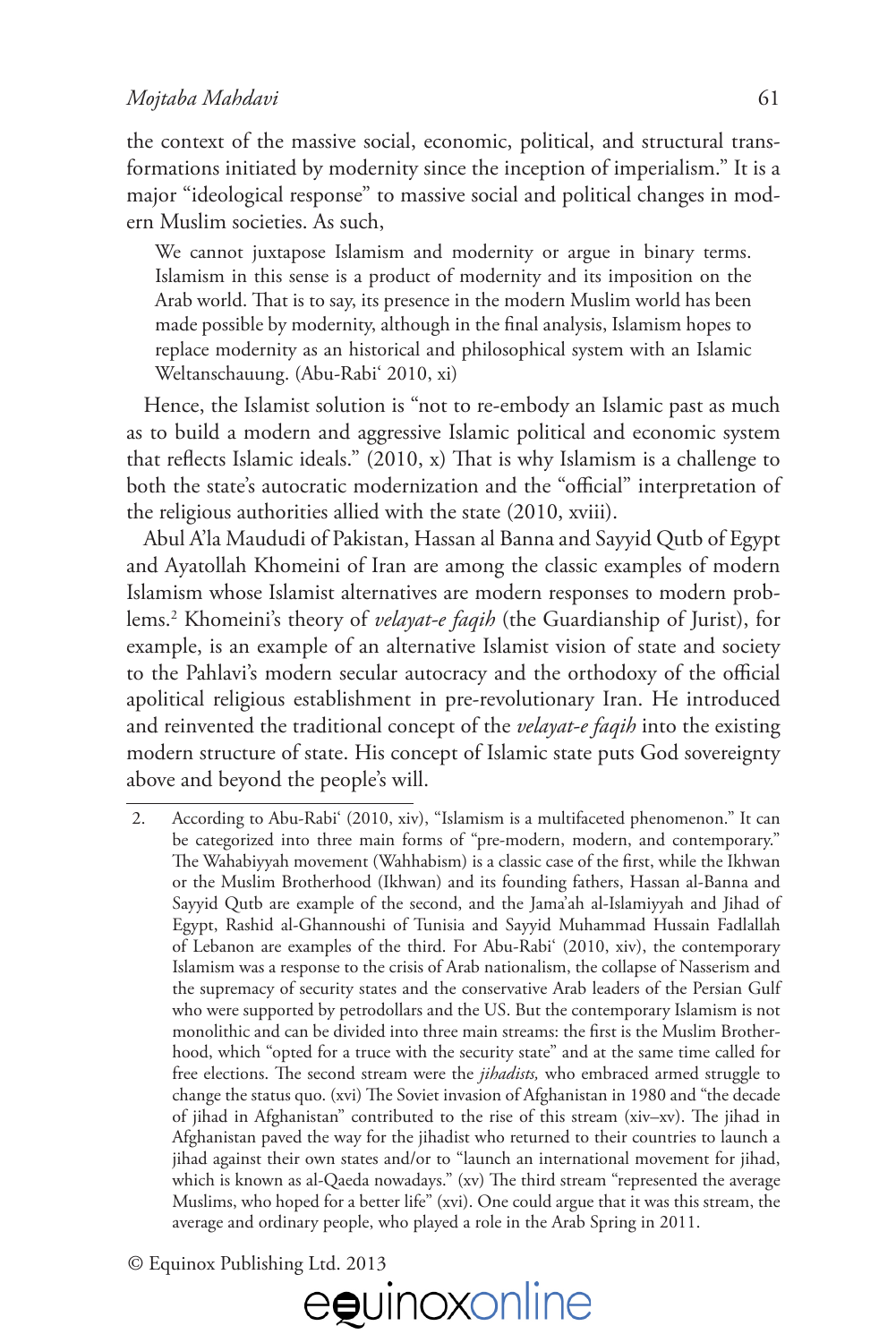## *Mojtaba Mahdavi* 61

the context of the massive social, economic, political, and structural transformations initiated by modernity since the inception of imperialism." It is a major "ideological response" to massive social and political changes in modern Muslim societies. As such,

We cannot juxtapose Islamism and modernity or argue in binary terms. Islamism in this sense is a product of modernity and its imposition on the Arab world. That is to say, its presence in the modern Muslim world has been made possible by modernity, although in the final analysis, Islamism hopes to replace modernity as an historical and philosophical system with an Islamic Weltanschauung. (Abu-Rabi' 2010, xi)

Hence, the Islamist solution is "not to re-embody an Islamic past as much as to build a modern and aggressive Islamic political and economic system that reflects Islamic ideals."  $(2010, x)$  That is why Islamism is a challenge to both the state's autocratic modernization and the "official" interpretation of the religious authorities allied with the state (2010, xviii).

Abul A'la Maududi of Pakistan, Hassan al Banna and Sayyid Qutb of Egypt and Ayatollah Khomeini of Iran are among the classic examples of modern Islamism whose Islamist alternatives are modern responses to modern problems.2 Khomeini's theory of *velayat-e faqih* (the Guardianship of Jurist), for example, is an example of an alternative Islamist vision of state and society to the Pahlavi's modern secular autocracy and the orthodoxy of the official apolitical religious establishment in pre-revolutionary Iran. He introduced and reinvented the traditional concept of the *velayat-e faqih* into the existing modern structure of state. His concept of Islamic state puts God sovereignty above and beyond the people's will.

<sup>2.</sup> According to Abu-Rabi' (2010, xiv), "Islamism is a multifaceted phenomenon." It can be categorized into three main forms of "pre-modern, modern, and contemporary." The Wahabiyyah movement (Wahhabism) is a classic case of the first, while the Ikhwan or the Muslim Brotherhood (Ikhwan) and its founding fathers, Hassan al-Banna and Sayyid Qutb are example of the second, and the Jama'ah al-Islamiyyah and Jihad of Egypt, Rashid al-Ghannoushi of Tunisia and Sayyid Muhammad Hussain Fadlallah of Lebanon are examples of the third. For Abu-Rabi' (2010, xiv), the contemporary Islamism was a response to the crisis of Arab nationalism, the collapse of Nasserism and the supremacy of security states and the conservative Arab leaders of the Persian Gulf who were supported by petrodollars and the US. But the contemporary Islamism is not monolithic and can be divided into three main streams: the first is the Muslim Brotherhood, which "opted for a truce with the security state" and at the same time called for free elections. The second stream were the *jihadists*, who embraced armed struggle to change the status quo. (xvi) The Soviet invasion of Afghanistan in 1980 and "the decade of jihad in Afghanistan" contributed to the rise of this stream (xiv-xv). The jihad in Afghanistan paved the way for the jihadist who returned to their countries to launch a jihad against their own states and/or to "launch an international movement for jihad, which is known as al-Qaeda nowadays." (xv) The third stream "represented the average Muslims, who hoped for a better life" (xvi). One could argue that it was this stream, the average and ordinary people, who played a role in the Arab Spring in 2011.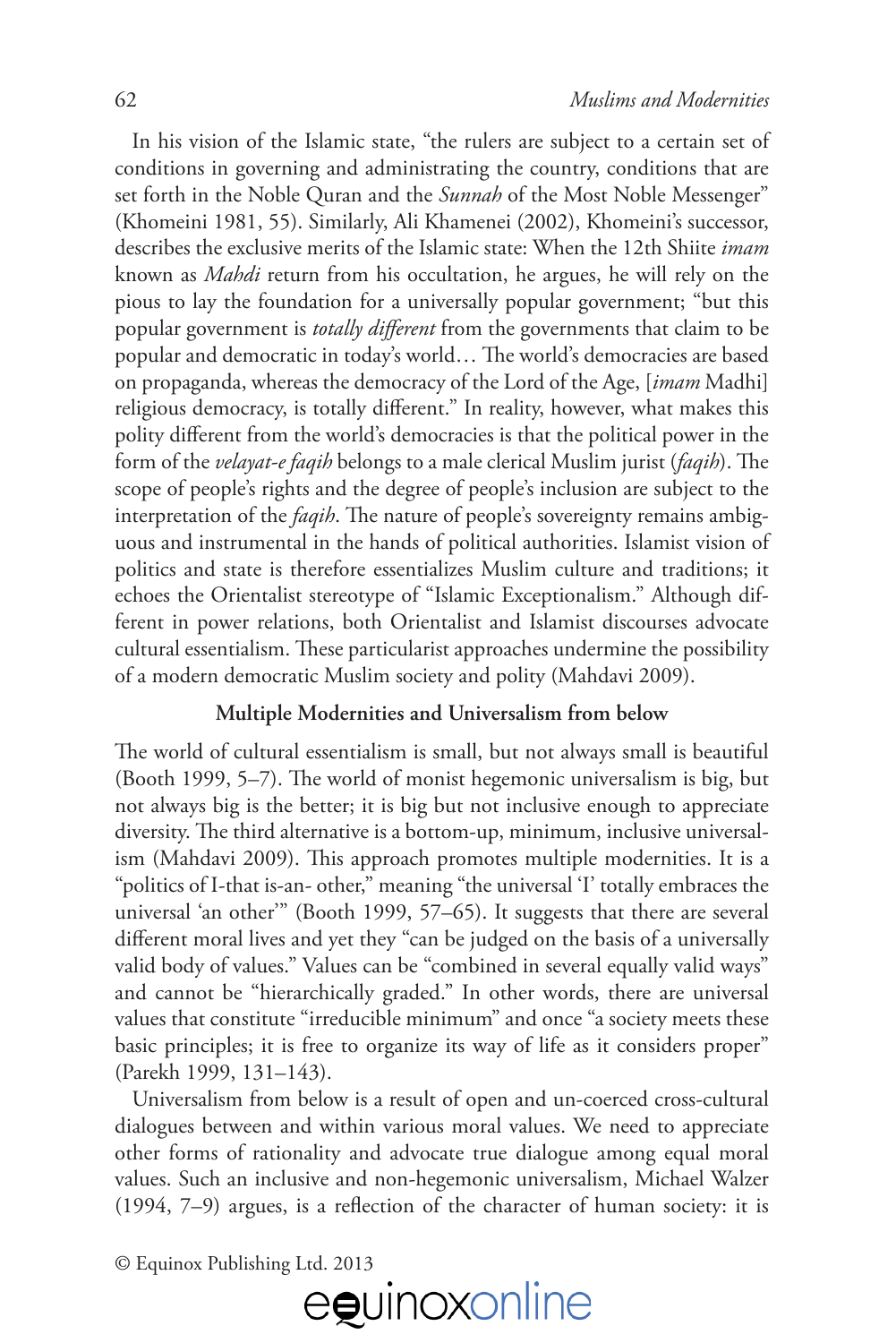In his vision of the Islamic state, "the rulers are subject to a certain set of conditions in governing and administrating the country, conditions that are set forth in the Noble Quran and the *Sunnah* of the Most Noble Messenger" (Khomeini 1981, 55). Similarly, Ali Khamenei (2002), Khomeini's successor, describes the exclusive merits of the Islamic state: When the 12th Shiite *imam* known as *Mahdi* return from his occultation, he argues, he will rely on the pious to lay the foundation for a universally popular government; "but this popular government is *totally di"erent* from the governments that claim to be popular and democratic in today's world... The world's democracies are based on propaganda, whereas the democracy of the Lord of the Age, [*imam* Madhi] religious democracy, is totally different." In reality, however, what makes this polity different from the world's democracies is that the political power in the form of the *velayat-e faqih* belongs to a male clerical Muslim jurist (*faqih*). The scope of people's rights and the degree of people's inclusion are subject to the interpretation of the *faqih*. The nature of people's sovereignty remains ambiguous and instrumental in the hands of political authorities. Islamist vision of politics and state is therefore essentializes Muslim culture and traditions; it echoes the Orientalist stereotype of "Islamic Exceptionalism." Although different in power relations, both Orientalist and Islamist discourses advocate cultural essentialism. These particularist approaches undermine the possibility of a modern democratic Muslim society and polity (Mahdavi 2009).

### **Multiple Modernities and Universalism from below**

The world of cultural essentialism is small, but not always small is beautiful (Booth 1999,  $5-7$ ). The world of monist hegemonic universalism is big, but not always big is the better; it is big but not inclusive enough to appreciate diversity. The third alternative is a bottom-up, minimum, inclusive universalism (Mahdavi 2009). This approach promotes multiple modernities. It is a "politics of I-that is-an- other," meaning "the universal 'I' totally embraces the universal 'an other'" (Booth 1999, 57–65). It suggests that there are several different moral lives and yet they "can be judged on the basis of a universally valid body of values." Values can be "combined in several equally valid ways" and cannot be "hierarchically graded." In other words, there are universal values that constitute "irreducible minimum" and once "a society meets these basic principles; it is free to organize its way of life as it considers proper" (Parekh 1999, 131–143).

Universalism from below is a result of open and un-coerced cross-cultural dialogues between and within various moral values. We need to appreciate other forms of rationality and advocate true dialogue among equal moral values. Such an inclusive and non-hegemonic universalism, Michael Walzer  $(1994, 7–9)$  argues, is a reflection of the character of human society: it is

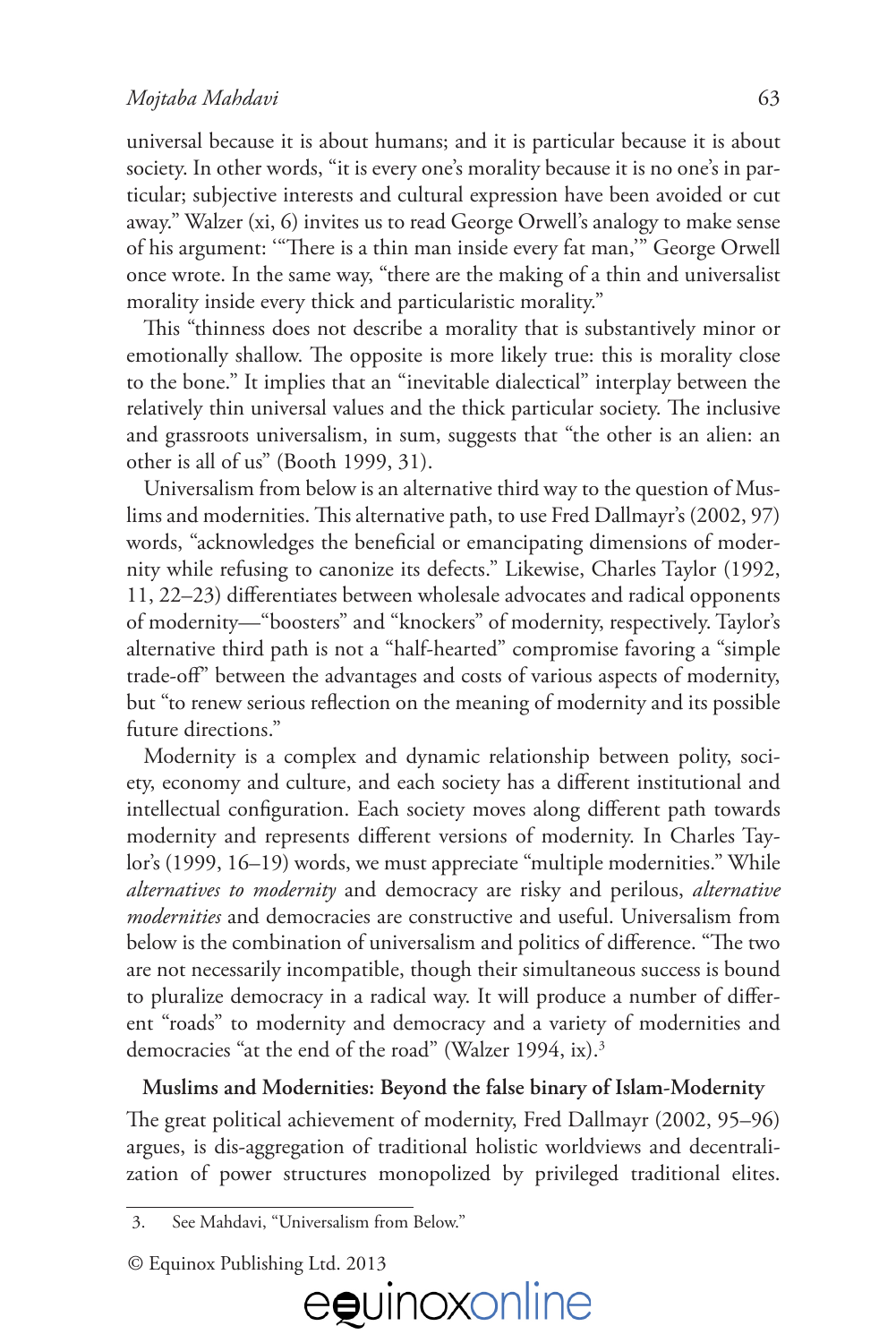universal because it is about humans; and it is particular because it is about society. In other words, "it is every one's morality because it is no one's in particular; subjective interests and cultural expression have been avoided or cut away." Walzer (xi, 6) invites us to read George Orwell's analogy to make sense of his argument: "There is a thin man inside every fat man," George Orwell once wrote. In the same way, "there are the making of a thin and universalist morality inside every thick and particularistic morality."

This "thinness does not describe a morality that is substantively minor or emotionally shallow. The opposite is more likely true: this is morality close to the bone." It implies that an "inevitable dialectical" interplay between the relatively thin universal values and the thick particular society. The inclusive and grassroots universalism, in sum, suggests that "the other is an alien: an other is all of us" (Booth 1999, 31).

Universalism from below is an alternative third way to the question of Muslims and modernities. This alternative path, to use Fred Dallmayr's (2002, 97) words, "acknowledges the beneficial or emancipating dimensions of modernity while refusing to canonize its defects." Likewise, Charles Taylor (1992, 11, 22–23) differentiates between wholesale advocates and radical opponents of modernity—"boosters" and "knockers" of modernity, respectively. Taylor's alternative third path is not a "half-hearted" compromise favoring a "simple trade-off" between the advantages and costs of various aspects of modernity, but "to renew serious reflection on the meaning of modernity and its possible future directions."

Modernity is a complex and dynamic relationship between polity, society, economy and culture, and each society has a different institutional and intellectual configuration. Each society moves along different path towards modernity and represents different versions of modernity. In Charles Taylor's (1999, 16–19) words, we must appreciate "multiple modernities." While *alternatives to modernity* and democracy are risky and perilous, *alternative modernities* and democracies are constructive and useful. Universalism from below is the combination of universalism and politics of difference. "The two are not necessarily incompatible, though their simultaneous success is bound to pluralize democracy in a radical way. It will produce a number of different "roads" to modernity and democracy and a variety of modernities and democracies "at the end of the road" (Walzer 1994, ix).<sup>3</sup>

#### **Muslims and Modernities: Beyond the false binary of Islam-Modernity**

The great political achievement of modernity, Fred Dallmayr (2002, 95–96) argues, is dis-aggregation of traditional holistic worldviews and decentralization of power structures monopolized by privileged traditional elites.

<sup>©</sup> Equinox Publishing Ltd. 2013



<sup>3.</sup> See Mahdavi, "Universalism from Below."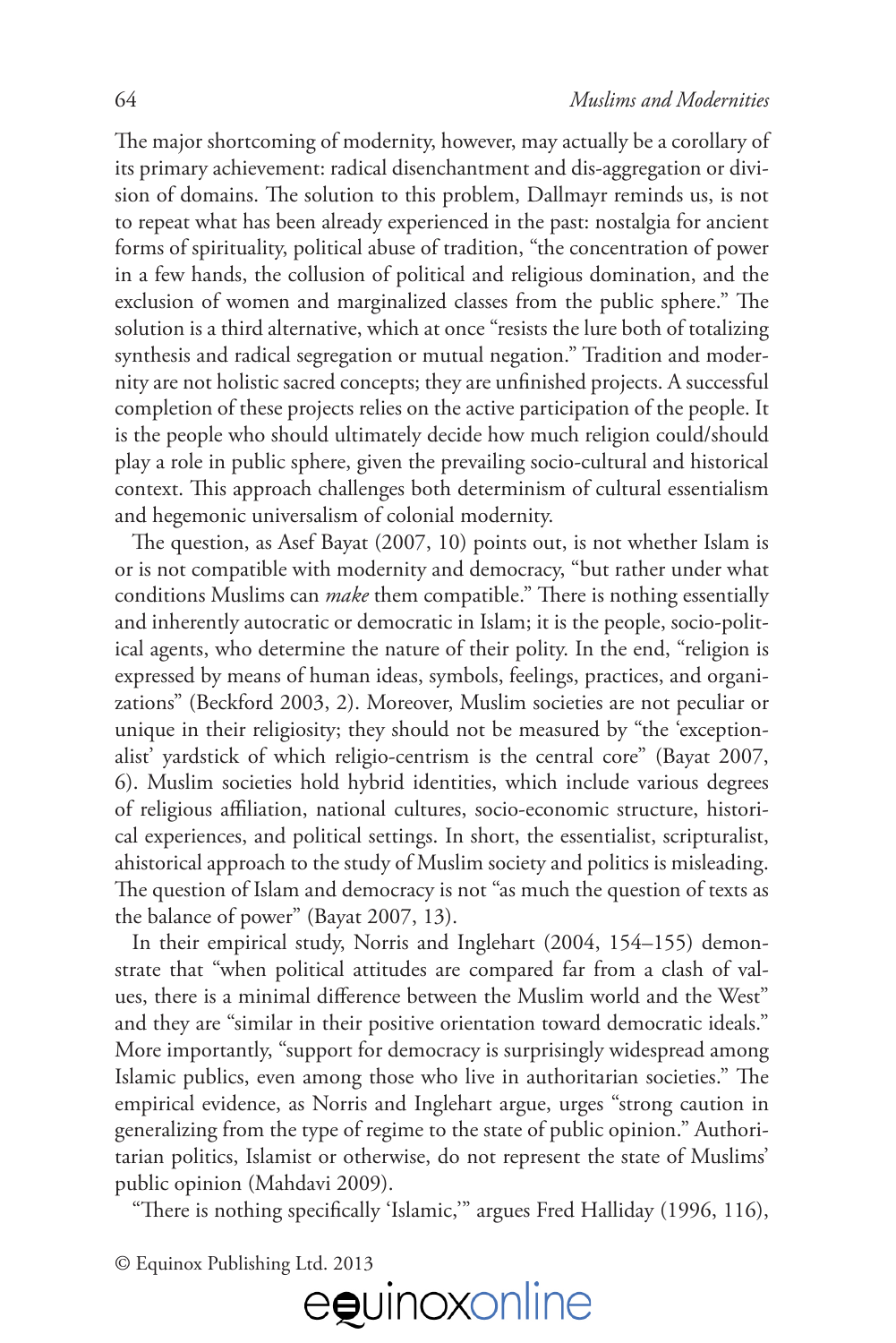The major shortcoming of modernity, however, may actually be a corollary of its primary achievement: radical disenchantment and dis-aggregation or division of domains. The solution to this problem, Dallmayr reminds us, is not to repeat what has been already experienced in the past: nostalgia for ancient forms of spirituality, political abuse of tradition, "the concentration of power in a few hands, the collusion of political and religious domination, and the exclusion of women and marginalized classes from the public sphere." The solution is a third alternative, which at once "resists the lure both of totalizing synthesis and radical segregation or mutual negation." Tradition and modernity are not holistic sacred concepts; they are unfinished projects. A successful completion of these projects relies on the active participation of the people. It is the people who should ultimately decide how much religion could/should play a role in public sphere, given the prevailing socio-cultural and historical context. This approach challenges both determinism of cultural essentialism and hegemonic universalism of colonial modernity.

The question, as Asef Bayat  $(2007, 10)$  points out, is not whether Islam is or is not compatible with modernity and democracy, "but rather under what conditions Muslims can *make* them compatible." There is nothing essentially and inherently autocratic or democratic in Islam; it is the people, socio-political agents, who determine the nature of their polity. In the end, "religion is expressed by means of human ideas, symbols, feelings, practices, and organizations" (Beckford 2003, 2). Moreover, Muslim societies are not peculiar or unique in their religiosity; they should not be measured by "the 'exceptionalist' yardstick of which religio-centrism is the central core" (Bayat 2007, 6). Muslim societies hold hybrid identities, which include various degrees of religious affiliation, national cultures, socio-economic structure, historical experiences, and political settings. In short, the essentialist, scripturalist, ahistorical approach to the study of Muslim society and politics is misleading. The question of Islam and democracy is not "as much the question of texts as the balance of power" (Bayat 2007, 13).

In their empirical study, Norris and Inglehart (2004, 154–155) demonstrate that "when political attitudes are compared far from a clash of values, there is a minimal difference between the Muslim world and the West" and they are "similar in their positive orientation toward democratic ideals." More importantly, "support for democracy is surprisingly widespread among Islamic publics, even among those who live in authoritarian societies." The empirical evidence, as Norris and Inglehart argue, urges "strong caution in generalizing from the type of regime to the state of public opinion." Authoritarian politics, Islamist or otherwise, do not represent the state of Muslims' public opinion (Mahdavi 2009).

"There is nothing specifically 'Islamic," argues Fred Halliday (1996, 116),

© Equinox Publishing Ltd. 2013

# eguinoxonline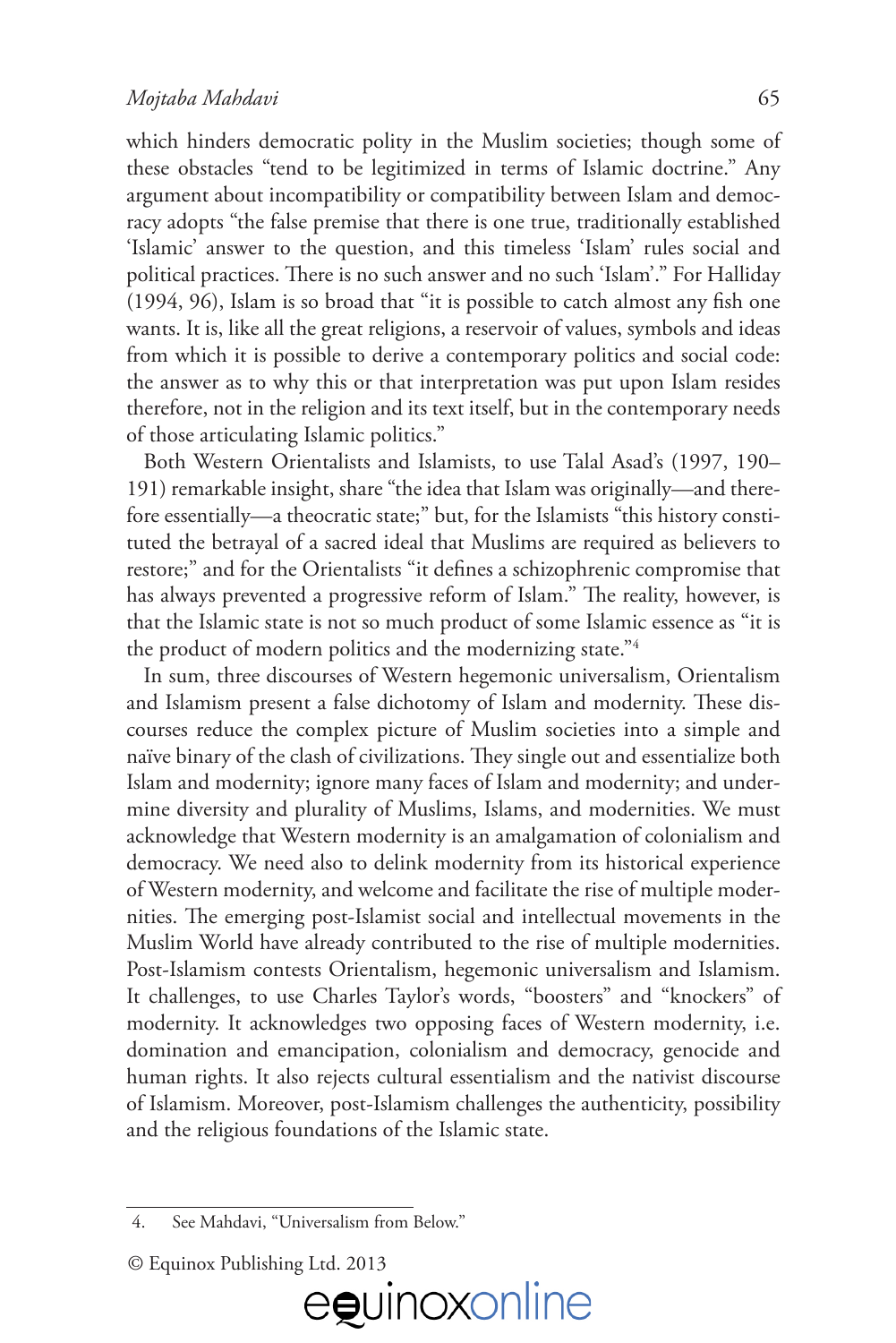#### *Mojtaba Mahdavi* 65

which hinders democratic polity in the Muslim societies; though some of these obstacles "tend to be legitimized in terms of Islamic doctrine." Any argument about incompatibility or compatibility between Islam and democracy adopts "the false premise that there is one true, traditionally established 'Islamic' answer to the question, and this timeless 'Islam' rules social and political practices. There is no such answer and no such 'Islam'." For Halliday  $(1994, 96)$ , Islam is so broad that "it is possible to catch almost any fish one wants. It is, like all the great religions, a reservoir of values, symbols and ideas from which it is possible to derive a contemporary politics and social code: the answer as to why this or that interpretation was put upon Islam resides therefore, not in the religion and its text itself, but in the contemporary needs of those articulating Islamic politics."

Both Western Orientalists and Islamists, to use Talal Asad's (1997, 190– 191) remarkable insight, share "the idea that Islam was originally—and therefore essentially—a theocratic state;" but, for the Islamists "this history constituted the betrayal of a sacred ideal that Muslims are required as believers to restore;" and for the Orientalists "it defines a schizophrenic compromise that has always prevented a progressive reform of Islam." The reality, however, is that the Islamic state is not so much product of some Islamic essence as "it is the product of modern politics and the modernizing state."4

In sum, three discourses of Western hegemonic universalism, Orientalism and Islamism present a false dichotomy of Islam and modernity. These discourses reduce the complex picture of Muslim societies into a simple and naïve binary of the clash of civilizations. They single out and essentialize both Islam and modernity; ignore many faces of Islam and modernity; and undermine diversity and plurality of Muslims, Islams, and modernities. We must acknowledge that Western modernity is an amalgamation of colonialism and democracy. We need also to delink modernity from its historical experience of Western modernity, and welcome and facilitate the rise of multiple modernities. The emerging post-Islamist social and intellectual movements in the Muslim World have already contributed to the rise of multiple modernities. Post-Islamism contests Orientalism, hegemonic universalism and Islamism. It challenges, to use Charles Taylor's words, "boosters" and "knockers" of modernity. It acknowledges two opposing faces of Western modernity, i.e. domination and emancipation, colonialism and democracy, genocide and human rights. It also rejects cultural essentialism and the nativist discourse of Islamism. Moreover, post-Islamism challenges the authenticity, possibility and the religious foundations of the Islamic state.

eguinoxonline

<sup>4.</sup> See Mahdavi, "Universalism from Below."

<sup>©</sup> Equinox Publishing Ltd. 2013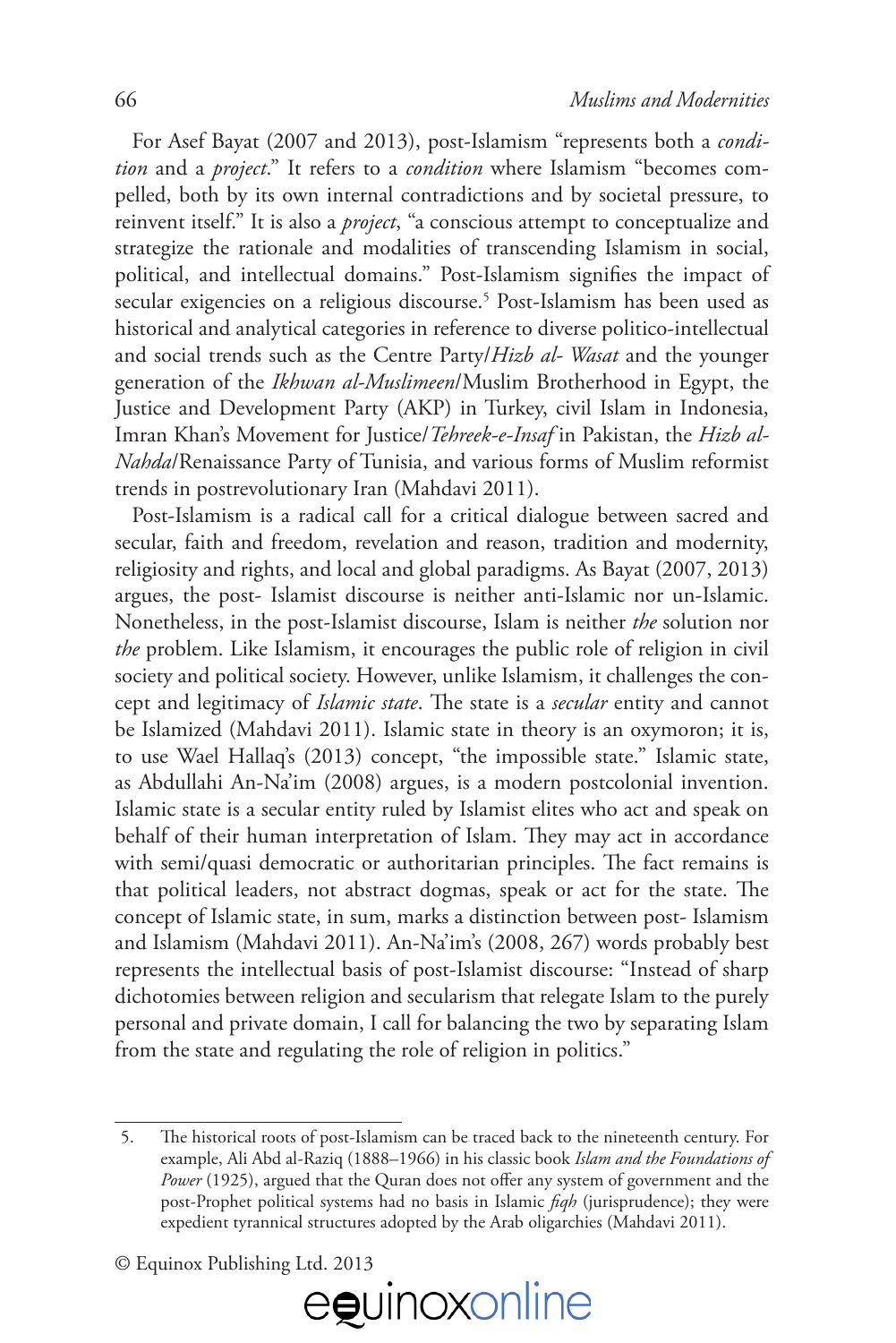For Asef Bayat (2007 and 2013), post-Islamism "represents both a *condition* and a *project*." It refers to a *condition* where Islamism "becomes compelled, both by its own internal contradictions and by societal pressure, to reinvent itself." It is also a *project*, "a conscious attempt to conceptualize and strategize the rationale and modalities of transcending Islamism in social, political, and intellectual domains." Post-Islamism signifies the impact of secular exigencies on a religious discourse.5 Post-Islamism has been used as historical and analytical categories in reference to diverse politico-intellectual and social trends such as the Centre Party/*Hizb al- Wasat* and the younger generation of the *Ikhwan al-Muslimeen*/Muslim Brotherhood in Egypt, the Justice and Development Party (AKP) in Turkey, civil Islam in Indonesia, Imran Khan's Movement for Justice/*Tehreek-e-Insaf* in Pakistan, the *Hizb al-Nahda*/Renaissance Party of Tunisia, and various forms of Muslim reformist trends in postrevolutionary Iran (Mahdavi 2011).

Post-Islamism is a radical call for a critical dialogue between sacred and secular, faith and freedom, revelation and reason, tradition and modernity, religiosity and rights, and local and global paradigms. As Bayat (2007, 2013) argues, the post- Islamist discourse is neither anti-Islamic nor un-Islamic. Nonetheless, in the post-Islamist discourse, Islam is neither *the* solution nor *the* problem. Like Islamism, it encourages the public role of religion in civil society and political society. However, unlike Islamism, it challenges the concept and legitimacy of *Islamic state*. The state is a *secular* entity and cannot be Islamized (Mahdavi 2011). Islamic state in theory is an oxymoron; it is, to use Wael Hallaq's (2013) concept, "the impossible state." Islamic state, as Abdullahi An-Na'im (2008) argues, is a modern postcolonial invention. Islamic state is a secular entity ruled by Islamist elites who act and speak on behalf of their human interpretation of Islam. They may act in accordance with semi/quasi democratic or authoritarian principles. The fact remains is that political leaders, not abstract dogmas, speak or act for the state. The concept of Islamic state, in sum, marks a distinction between post- Islamism and Islamism (Mahdavi 2011). An-Na'im's (2008, 267) words probably best represents the intellectual basis of post-Islamist discourse: "Instead of sharp dichotomies between religion and secularism that relegate Islam to the purely personal and private domain, I call for balancing the two by separating Islam from the state and regulating the role of religion in politics."

<sup>©</sup> Equinox Publishing Ltd. 2013



<sup>5.</sup> !e historical roots of post-Islamism can be traced back to the nineteenth century. For example, Ali Abd al-Raziq (1888–1966) in his classic book *Islam and the Foundations of*  Power (1925), argued that the Quran does not offer any system of government and the post-Prophet political systems had no basis in Islamic *#qh* (jurisprudence); they were expedient tyrannical structures adopted by the Arab oligarchies (Mahdavi 2011).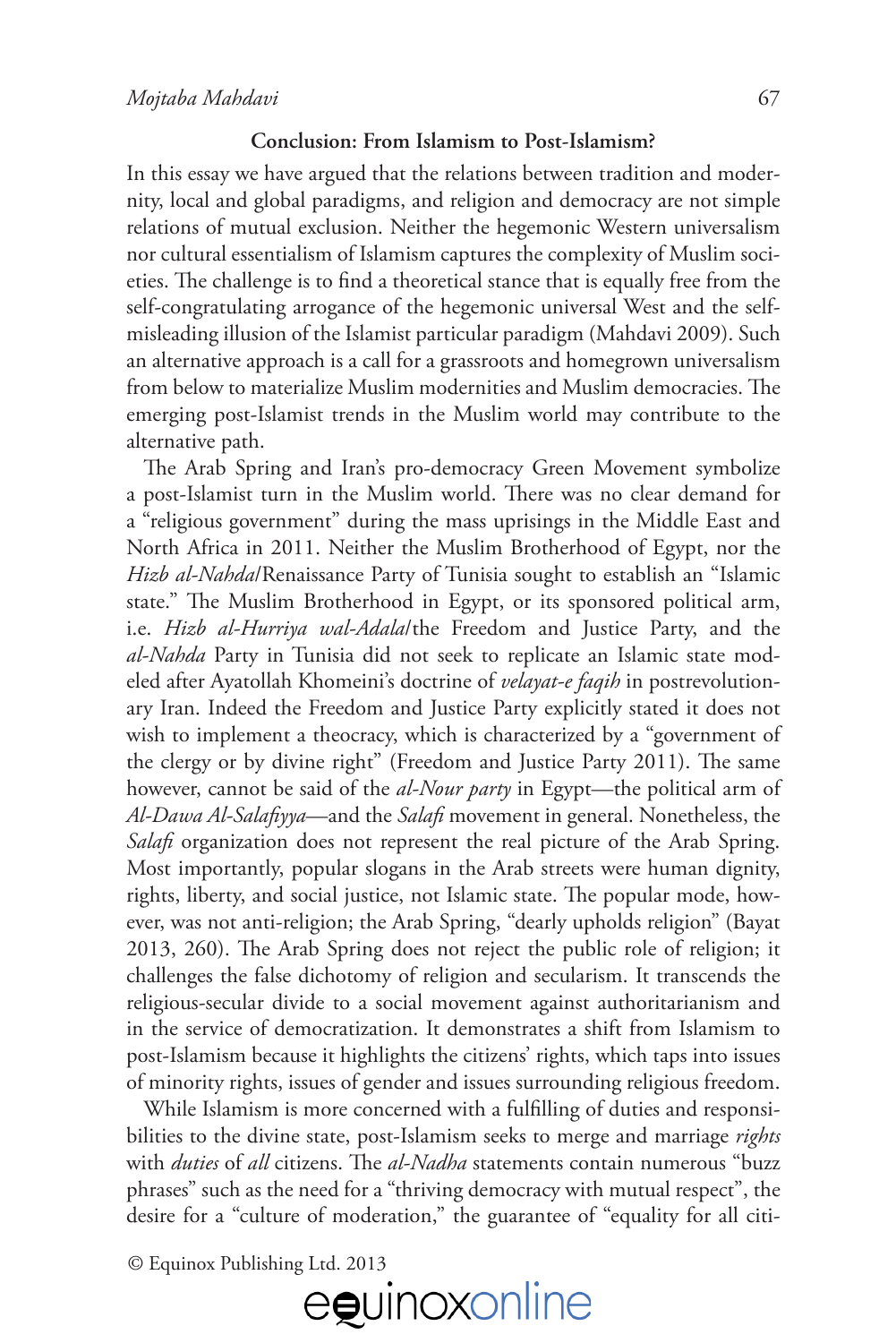## **Conclusion: From Islamism to Post-Islamism?**

In this essay we have argued that the relations between tradition and modernity, local and global paradigms, and religion and democracy are not simple relations of mutual exclusion. Neither the hegemonic Western universalism nor cultural essentialism of Islamism captures the complexity of Muslim societies. The challenge is to find a theoretical stance that is equally free from the self-congratulating arrogance of the hegemonic universal West and the selfmisleading illusion of the Islamist particular paradigm (Mahdavi 2009). Such an alternative approach is a call for a grassroots and homegrown universalism from below to materialize Muslim modernities and Muslim democracies. The emerging post-Islamist trends in the Muslim world may contribute to the alternative path.

The Arab Spring and Iran's pro-democracy Green Movement symbolize a post-Islamist turn in the Muslim world. There was no clear demand for a "religious government" during the mass uprisings in the Middle East and North Africa in 2011. Neither the Muslim Brotherhood of Egypt, nor the *Hizb al-Nahda*/Renaissance Party of Tunisia sought to establish an "Islamic state." The Muslim Brotherhood in Egypt, or its sponsored political arm, i.e. *Hizb al-Hurriya wal-Adala*/the Freedom and Justice Party, and the *al-Nahda* Party in Tunisia did not seek to replicate an Islamic state modeled after Ayatollah Khomeini's doctrine of *velayat-e faqih* in postrevolutionary Iran. Indeed the Freedom and Justice Party explicitly stated it does not wish to implement a theocracy, which is characterized by a "government of the clergy or by divine right" (Freedom and Justice Party 2011). The same however, cannot be said of the *al-Nour party* in Egypt—the political arm of *Al-Dawa Al-Sala#yya*—and the *Sala#* movement in general. Nonetheless, the *Sala#* organization does not represent the real picture of the Arab Spring. Most importantly, popular slogans in the Arab streets were human dignity, rights, liberty, and social justice, not Islamic state. The popular mode, however, was not anti-religion; the Arab Spring, "dearly upholds religion" (Bayat 2013, 260). The Arab Spring does not reject the public role of religion; it challenges the false dichotomy of religion and secularism. It transcends the religious-secular divide to a social movement against authoritarianism and in the service of democratization. It demonstrates a shift from Islamism to post-Islamism because it highlights the citizens' rights, which taps into issues of minority rights, issues of gender and issues surrounding religious freedom.

While Islamism is more concerned with a fulfilling of duties and responsibilities to the divine state, post-Islamism seeks to merge and marriage *rights* with *duties* of all citizens. The al-Nadha statements contain numerous "buzz phrases" such as the need for a "thriving democracy with mutual respect", the desire for a "culture of moderation," the guarantee of "equality for all citi-

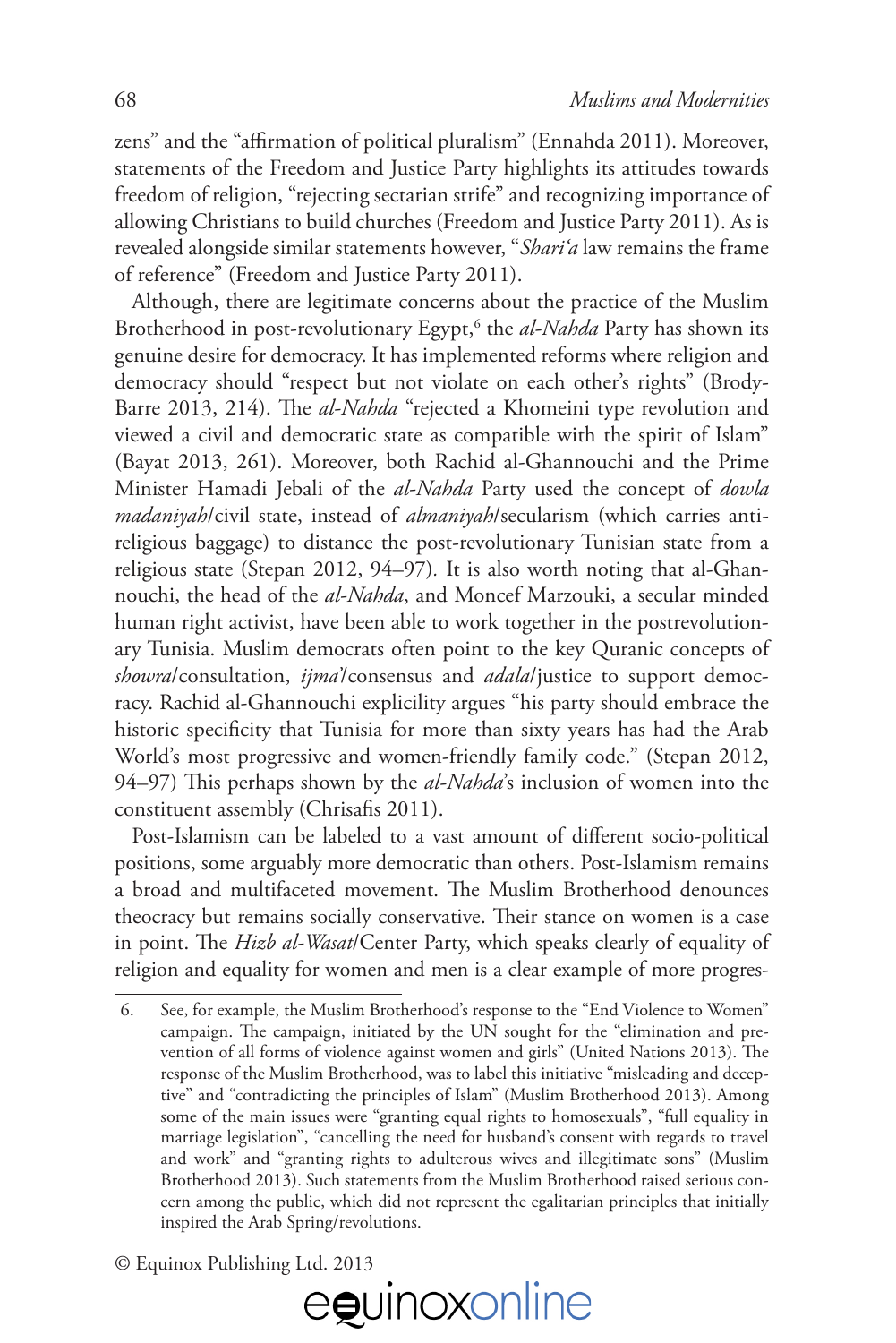zens" and the "affirmation of political pluralism" (Ennahda 2011). Moreover, statements of the Freedom and Justice Party highlights its attitudes towards freedom of religion, "rejecting sectarian strife" and recognizing importance of allowing Christians to build churches (Freedom and Justice Party 2011). As is revealed alongside similar statements however, "*Shari'a* law remains the frame of reference" (Freedom and Justice Party 2011).

Although, there are legitimate concerns about the practice of the Muslim Brotherhood in post-revolutionary Egypt,<sup>6</sup> the *al-Nahda* Party has shown its genuine desire for democracy. It has implemented reforms where religion and democracy should "respect but not violate on each other's rights" (Brody-Barre 2013, 214). The *al-Nahda* "rejected a Khomeini type revolution and viewed a civil and democratic state as compatible with the spirit of Islam" (Bayat 2013, 261). Moreover, both Rachid al-Ghannouchi and the Prime Minister Hamadi Jebali of the *al-Nahda* Party used the concept of *dowla madaniyah*/civil state, instead of *almaniyah*/secularism (which carries antireligious baggage) to distance the post-revolutionary Tunisian state from a religious state (Stepan 2012, 94–97)*.* It is also worth noting that al-Ghannouchi, the head of the *al-Nahda*, and Moncef Marzouki, a secular minded human right activist, have been able to work together in the postrevolutionary Tunisia. Muslim democrats often point to the key Quranic concepts of *showra*/consultation, *ijma'*/consensus and *adala*/justice to support democracy. Rachid al-Ghannouchi explicility argues "his party should embrace the historic specificity that Tunisia for more than sixty years has had the Arab World's most progressive and women-friendly family code." (Stepan 2012, 94–97) This perhaps shown by the *al-Nahda*'s inclusion of women into the constituent assembly (Chrisafis 2011).

Post-Islamism can be labeled to a vast amount of different socio-political positions, some arguably more democratic than others. Post-Islamism remains a broad and multifaceted movement. The Muslim Brotherhood denounces theocracy but remains socially conservative. Their stance on women is a case in point. The *Hizb al-Wasat*/Center Party, which speaks clearly of equality of religion and equality for women and men is a clear example of more progres-

<sup>6.</sup> See, for example, the Muslim Brotherhood's response to the "End Violence to Women" campaign. The campaign, initiated by the UN sought for the "elimination and prevention of all forms of violence against women and girls" (United Nations 2013). The response of the Muslim Brotherhood, was to label this initiative "misleading and deceptive" and "contradicting the principles of Islam" (Muslim Brotherhood 2013). Among some of the main issues were "granting equal rights to homosexuals", "full equality in marriage legislation", "cancelling the need for husband's consent with regards to travel and work" and "granting rights to adulterous wives and illegitimate sons" (Muslim Brotherhood 2013). Such statements from the Muslim Brotherhood raised serious concern among the public, which did not represent the egalitarian principles that initially inspired the Arab Spring/revolutions.

<sup>©</sup> Equinox Publishing Ltd. 2013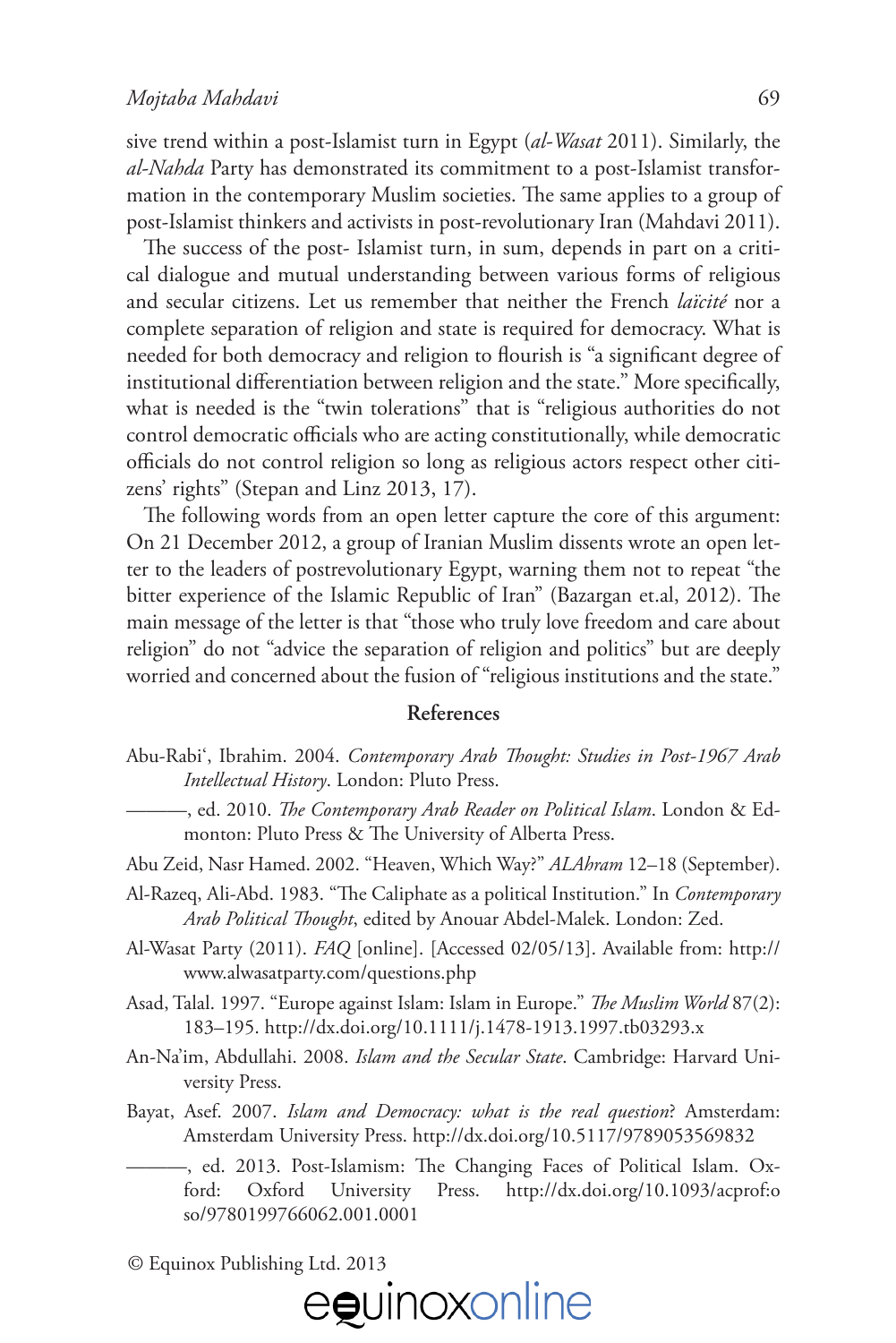sive trend within a post-Islamist turn in Egypt (*al-Wasat* 2011). Similarly, the *al-Nahda* Party has demonstrated its commitment to a post-Islamist transformation in the contemporary Muslim societies. The same applies to a group of post-Islamist thinkers and activists in post-revolutionary Iran (Mahdavi 2011).

The success of the post- Islamist turn, in sum, depends in part on a critical dialogue and mutual understanding between various forms of religious and secular citizens. Let us remember that neither the French *laïcité* nor a complete separation of religion and state is required for democracy. What is needed for both democracy and religion to flourish is "a significant degree of institutional differentiation between religion and the state." More specifically, what is needed is the "twin tolerations" that is "religious authorities do not control democratic officials who are acting constitutionally, while democratic o%cials do not control religion so long as religious actors respect other citizens' rights" (Stepan and Linz 2013, 17).

The following words from an open letter capture the core of this argument: On 21 December 2012, a group of Iranian Muslim dissents wrote an open letter to the leaders of postrevolutionary Egypt, warning them not to repeat "the bitter experience of the Islamic Republic of Iran" (Bazargan et.al, 2012). The main message of the letter is that "those who truly love freedom and care about religion" do not "advice the separation of religion and politics" but are deeply worried and concerned about the fusion of "religious institutions and the state."

## **References**

- Abu-Rabi', Ibrahim. 2004. *Contemporary Arab !ought: Studies in Post-1967 Arab Intellectual History*. London: Pluto Press.
	- ———, ed. 2010. *!e Contemporary Arab Reader on Political Islam*. London & Edmonton: Pluto Press & The University of Alberta Press.
- Abu Zeid, Nasr Hamed. 2002. "Heaven, Which Way?" *ALAhram* 12–18 (September).
- Al-Razeq, Ali-Abd. 1983. "The Caliphate as a political Institution." In *Contemporary Arab Political !ought*, edited by Anouar Abdel-Malek. London: Zed.
- Al-Wasat Party (2011). *FAQ* [online]. [Accessed 02/05/13]. Available from: [http://](http://www.alwasatparty.com/questions.php) [www.alwasatparty.com/questions.php](http://www.alwasatparty.com/questions.php)
- Asad, Talal. 1997. "Europe against Islam: Islam in Europe." *!e Muslim World* 87(2): 183–195. <http://dx.doi.org/10.1111/j.1478-1913.1997.tb03293.x>
- An-Na'im, Abdullahi. 2008. *Islam and the Secular State*. Cambridge: Harvard University Press.
- Bayat, Asef. 2007. *Islam and Democracy: what is the real question*? Amsterdam: Amsterdam University Press. <http://dx.doi.org/10.5117/9789053569832>
	- –, ed. 2013. Post-Islamism: The Changing Faces of Political Islam. Oxford: Oxford University Press. [http://dx.doi.org/10.1093/acprof:o](http://dx.doi.org/10.1093/acprof:oso/9780199766062.001.0001) [so/9780199766062.001.0001](http://dx.doi.org/10.1093/acprof:oso/9780199766062.001.0001)

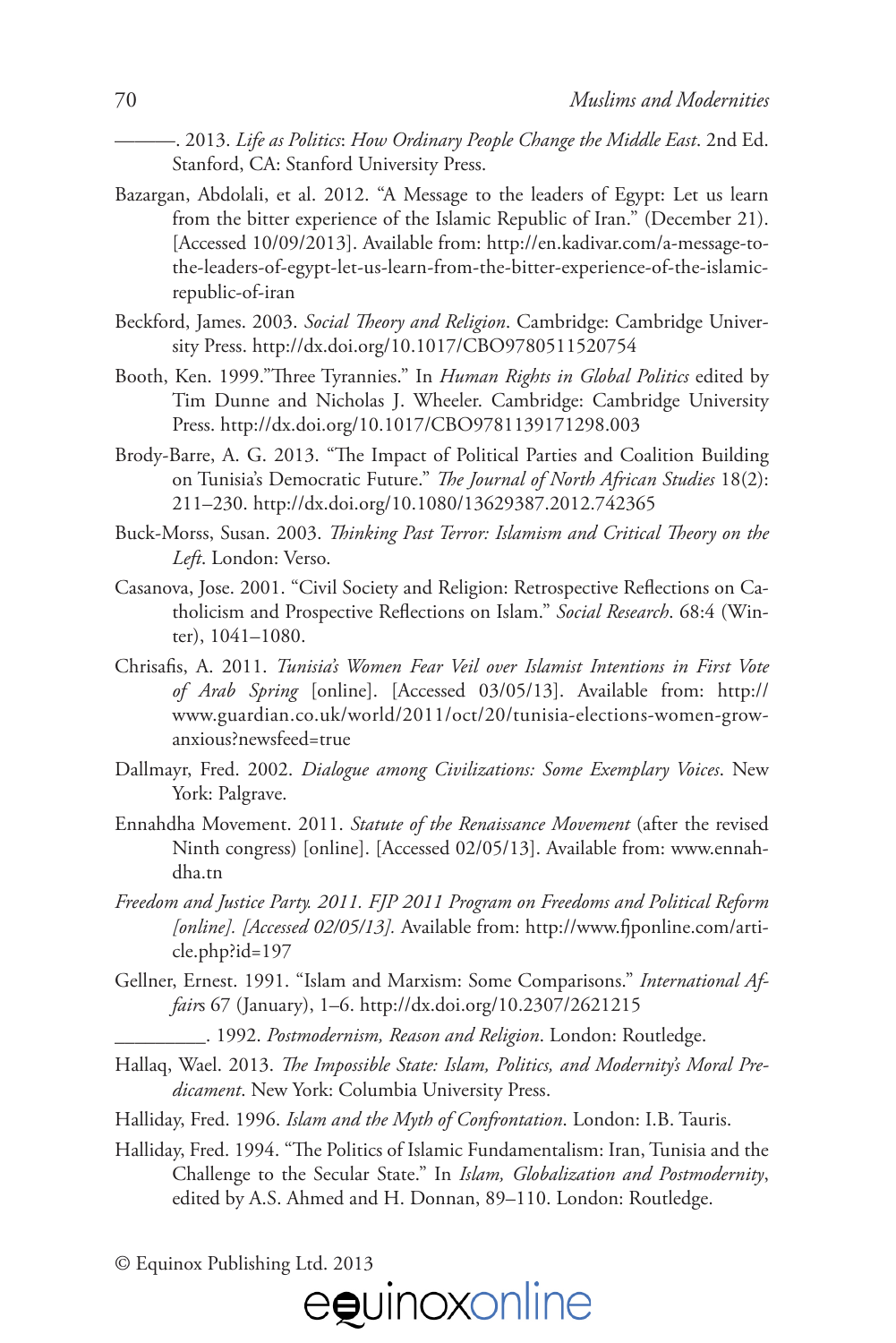———. 2013. *Life as Politics*: *How Ordinary People Change the Middle East*. 2nd Ed. Stanford, CA: Stanford University Press.

- Bazargan, Abdolali, et al. 2012. "A Message to the leaders of Egypt: Let us learn from the bitter experience of the Islamic Republic of Iran." (December 21). [Accessed 10/09/2013]. Available from: [http://en.kadivar.com/a-message-to](http://en.kadivar.com/a-message-to-the-leaders-of-egypt-let-us-learn-from-the-bitter-experience-of-the-islamic-republic-of-iran)[the-leaders-of-egypt-let-us-learn-from-the-bitter-experience-of-the-islamic](http://en.kadivar.com/a-message-to-the-leaders-of-egypt-let-us-learn-from-the-bitter-experience-of-the-islamic-republic-of-iran)[republic-of-iran](http://en.kadivar.com/a-message-to-the-leaders-of-egypt-let-us-learn-from-the-bitter-experience-of-the-islamic-republic-of-iran)
- Beckford, James. 2003. *Social !eory and Religion*. Cambridge: Cambridge University Press. <http://dx.doi.org/10.1017/CBO9780511520754>
- Booth, Ken. 1999."Three Tyrannies." In *Human Rights in Global Politics* edited by Tim Dunne and Nicholas J. Wheeler. Cambridge: Cambridge University Press. <http://dx.doi.org/10.1017/CBO9781139171298.003>
- Brody-Barre, A. G. 2013. "The Impact of Political Parties and Coalition Building on Tunisia's Democratic Future." *!e Journal of North African Studies* 18(2): 211–230.<http://dx.doi.org/10.1080/13629387.2012.742365>
- Buck-Morss, Susan. 2003. *!inking Past Terror: Islamism and Critical !eory on the Left*. London: Verso.
- Casanova, Jose. 2001. "Civil Society and Religion: Retrospective Reflections on Catholicism and Prospective Reflections on Islam." *Social Research*. 68:4 (Winter), 1041–1080.
- Chrisa#s, A. 2011. *Tunisia's Women Fear Veil over Islamist Intentions in First Vote of Arab Spring* [online]. [Accessed 03/05/13]. Available from: [http://](http://www.guardian.co.uk/world/2011/oct/20/tunisia-elections-women-grow-anxious?newsfeed=true) [www.guardian.co.uk/world/2011/oct/20/tunisia-elections-women-grow](http://www.guardian.co.uk/world/2011/oct/20/tunisia-elections-women-grow-anxious?newsfeed=true)[anxious?newsfeed=true](http://www.guardian.co.uk/world/2011/oct/20/tunisia-elections-women-grow-anxious?newsfeed=true)
- Dallmayr, Fred. 2002. *Dialogue among Civilizations: Some Exemplary Voices*. New York: Palgrave.
- Ennahdha Movement. 2011. *Statute of the Renaissance Movement* (after the revised Ninth congress) [online]. [Accessed 02/05/13]. Available from: [www.ennah](http://www.ennahdha.tn)[dha.tn](http://www.ennahdha.tn)
- *Freedom and Justice Party. 2011. FJP 2011 Program on Freedoms and Political Reform*  [online]. [Accessed 02/05/13]. Available from: http://www.fi[ponline.com/arti](http://www.fjponline.com/article.php?id=197)[cle.php?id=197](http://www.fjponline.com/article.php?id=197)
- Gellner, Ernest. 1991. "Islam and Marxism: Some Comparisons." *International Affair*s 67 (January), 1–6. <http://dx.doi.org/10.2307/2621215>
	- \_\_\_\_\_\_\_\_\_. 1992. *Postmodernism, Reason and Religion*. London: Routledge.
- Hallaq, Wael. 2013. *The Impossible State: Islam, Politics, and Modernity's Moral Predicament*. New York: Columbia University Press.
- Halliday, Fred. 1996. *Islam and the Myth of Confrontation*. London: I.B. Tauris.
- Halliday, Fred. 1994. "The Politics of Islamic Fundamentalism: Iran, Tunisia and the Challenge to the Secular State." In *Islam, Globalization and Postmodernity*, edited by A.S. Ahmed and H. Donnan, 89–110. London: Routledge.